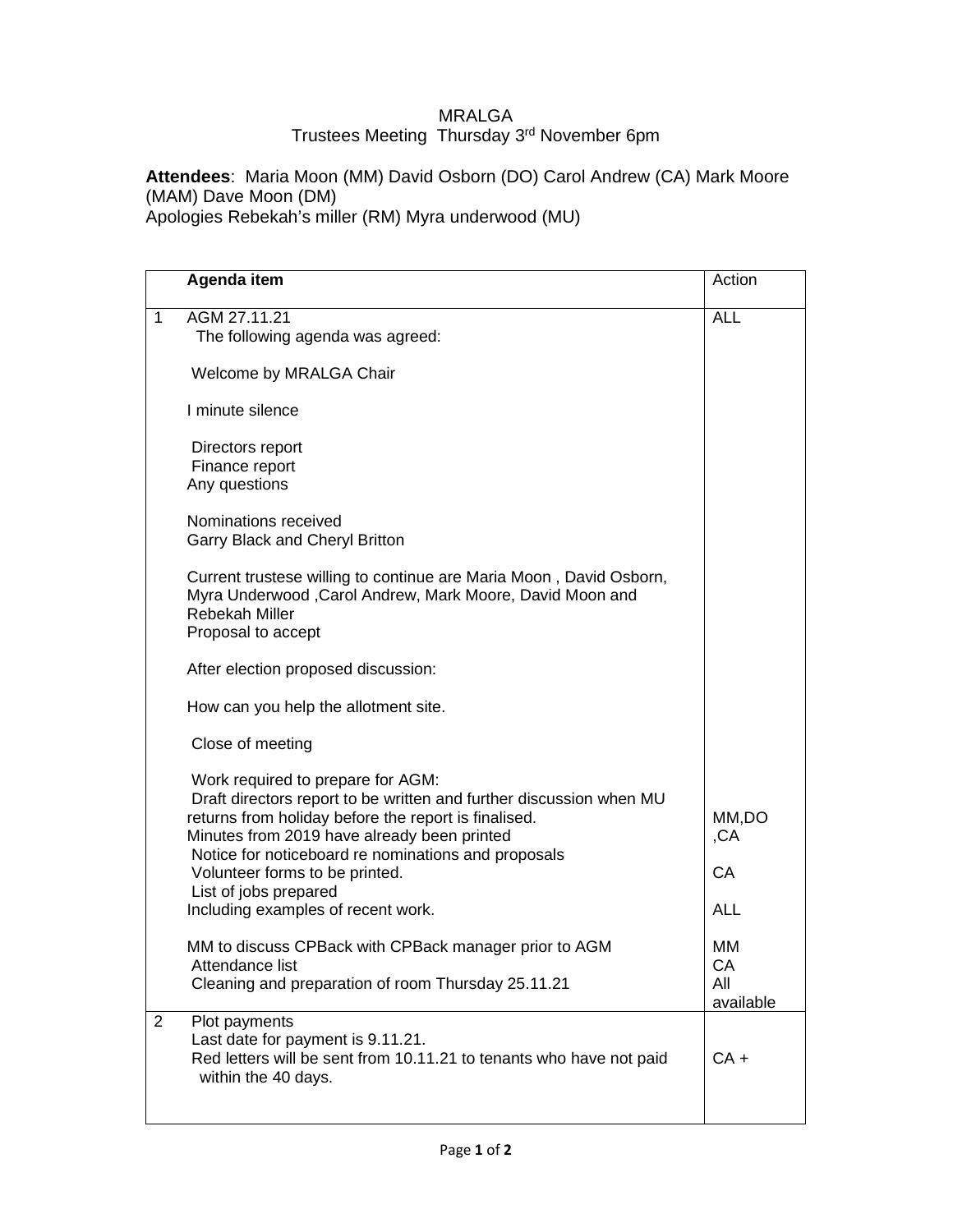## MRALGA Trustees Meeting Thursday 3rd November 6pm

**Attendees**: Maria Moon (MM) David Osborn (DO) Carol Andrew (CA) Mark Moore (MAM) Dave Moon (DM) Apologies Rebekah's miller (RM) Myra underwood (MU)

|                | Agenda item                                                                                                                                                                                                                                                                                                                                                             | Action                           |
|----------------|-------------------------------------------------------------------------------------------------------------------------------------------------------------------------------------------------------------------------------------------------------------------------------------------------------------------------------------------------------------------------|----------------------------------|
| 1              | AGM 27.11.21<br>The following agenda was agreed:                                                                                                                                                                                                                                                                                                                        | <b>ALL</b>                       |
|                | Welcome by MRALGA Chair                                                                                                                                                                                                                                                                                                                                                 |                                  |
|                | I minute silence                                                                                                                                                                                                                                                                                                                                                        |                                  |
|                | Directors report<br>Finance report<br>Any questions                                                                                                                                                                                                                                                                                                                     |                                  |
|                | Nominations received<br><b>Garry Black and Cheryl Britton</b>                                                                                                                                                                                                                                                                                                           |                                  |
|                | Current trustese willing to continue are Maria Moon, David Osborn,<br>Myra Underwood, Carol Andrew, Mark Moore, David Moon and<br><b>Rebekah Miller</b><br>Proposal to accept                                                                                                                                                                                           |                                  |
|                | After election proposed discussion:                                                                                                                                                                                                                                                                                                                                     |                                  |
|                | How can you help the allotment site.                                                                                                                                                                                                                                                                                                                                    |                                  |
|                | Close of meeting                                                                                                                                                                                                                                                                                                                                                        |                                  |
|                | Work required to prepare for AGM:<br>Draft directors report to be written and further discussion when MU<br>returns from holiday before the report is finalised.<br>Minutes from 2019 have already been printed<br>Notice for noticeboard re nominations and proposals<br>Volunteer forms to be printed.<br>List of jobs prepared<br>Including examples of recent work. | MM,DO<br>,CA<br>CA<br><b>ALL</b> |
|                | MM to discuss CPBack with CPBack manager prior to AGM<br>Attendance list<br>Cleaning and preparation of room Thursday 25.11.21                                                                                                                                                                                                                                          | MМ<br>CА<br>All<br>available     |
| $\overline{2}$ | Plot payments<br>Last date for payment is 9.11.21.<br>Red letters will be sent from 10.11.21 to tenants who have not paid<br>within the 40 days.                                                                                                                                                                                                                        | $CA +$                           |